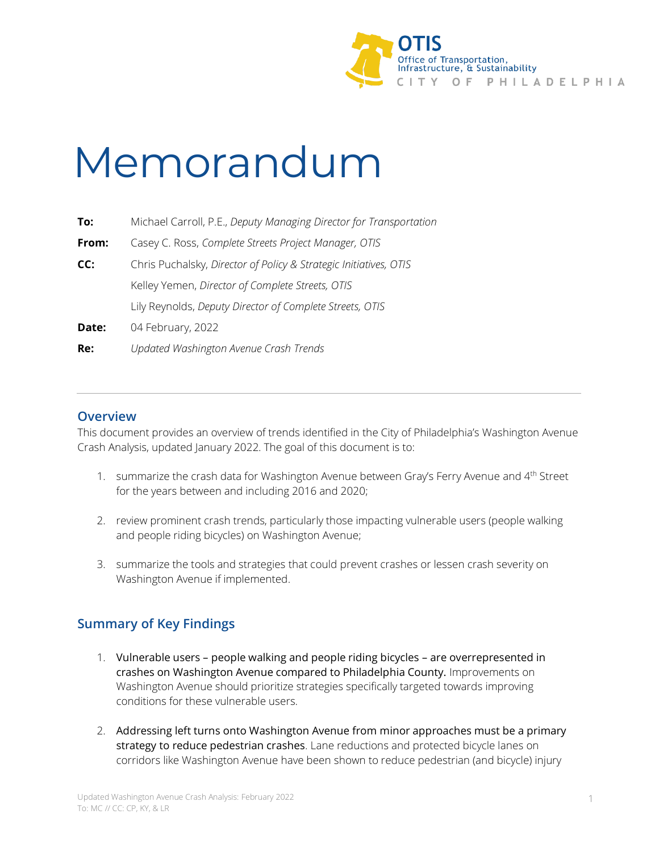

# Memorandum

| To:   | Michael Carroll, P.E., Deputy Managing Director for Transportation |
|-------|--------------------------------------------------------------------|
| From: | Casey C. Ross, Complete Streets Project Manager, OTIS              |
| CC:   | Chris Puchalsky, Director of Policy & Strategic Initiatives, OTIS  |
|       | Kelley Yemen, Director of Complete Streets, OTIS                   |
|       | Lily Reynolds, Deputy Director of Complete Streets, OTIS           |
| Date: | 04 February, 2022                                                  |
| Re:   | Updated Washington Avenue Crash Trends                             |

# **Overview**

This document provides an overview of trends identified in the City of Philadelphia's Washington Avenue Crash Analysis, updated January 2022. The goal of this document is to:

- 1. summarize the crash data for Washington Avenue between Gray's Ferry Avenue and 4<sup>th</sup> Street for the years between and including 2016 and 2020;
- 2. review prominent crash trends, particularly those impacting vulnerable users (people walking and people riding bicycles) on Washington Avenue;
- 3. summarize the tools and strategies that could prevent crashes or lessen crash severity on Washington Avenue if implemented.

# **Summary of Key Findings**

- 1. Vulnerable users people walking and people riding bicycles are overrepresented in crashes on Washington Avenue compared to Philadelphia County. Improvements on Washington Avenue should prioritize strategies specifically targeted towards improving conditions for these vulnerable users.
- 2. Addressing left turns onto Washington Avenue from minor approaches must be a primary strategy to reduce pedestrian crashes. Lane reductions and protected bicycle lanes on corridors like Washington Avenue have been shown to reduce pedestrian (and bicycle) injury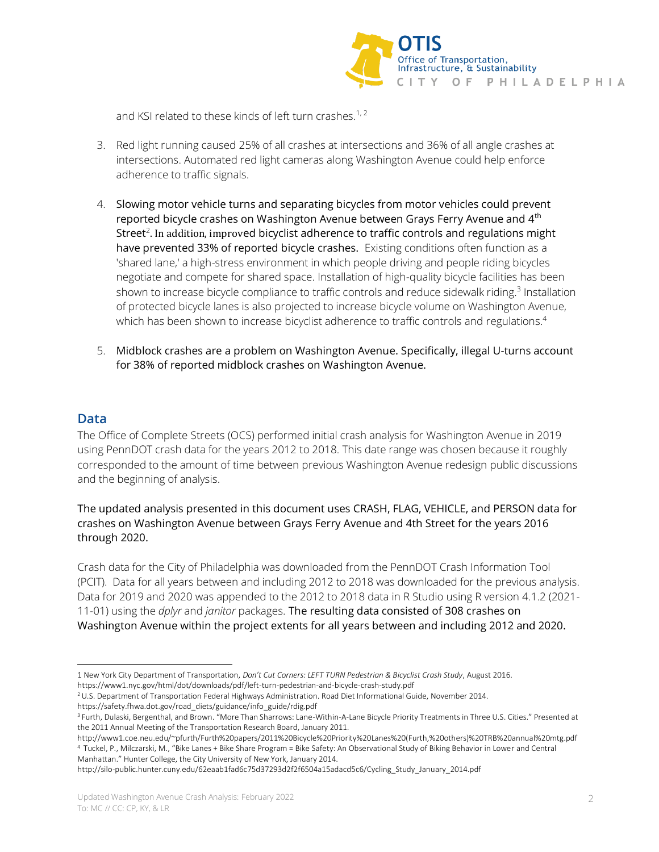

and KSI related to these kinds of left turn crashes.<sup>1, 2</sup>

- 3. Red light running caused 25% of all crashes at intersections and 36% of all angle crashes at intersections. Automated red light cameras along Washington Avenue could help enforce adherence to traffic signals.
- 4. Slowing motor vehicle turns and separating bicycles from motor vehicles could prevent reported bicycle crashes on Washington Avenue between Grays Ferry Avenue and 4<sup>th</sup> Street<sup>2</sup>. In addition, improved bicyclist adherence to traffic controls and regulations might have prevented 33% of reported bicycle crashes. Existing conditions often function as a 'shared lane,' a high-stress environment in which people driving and people riding bicycles negotiate and compete for shared space. Installation of high-quality bicycle facilities has been shown to increase bicycle compliance to traffic controls and reduce sidewalk riding.<sup>3</sup> Installation of protected bicycle lanes is also projected to increase bicycle volume on Washington Avenue, which has been shown to increase bicyclist adherence to traffic controls and regulations.<sup>4</sup>
- 5. Midblock crashes are a problem on Washington Avenue. Specifically, illegal U-turns account for 38% of reported midblock crashes on Washington Avenue.

# **Data**

The Office of Complete Streets (OCS) performed initial crash analysis for Washington Avenue in 2019 using PennDOT crash data for the years 2012 to 2018. This date range was chosen because it roughly corresponded to the amount of time between previous Washington Avenue redesign public discussions and the beginning of analysis.

# The updated analysis presented in this document uses CRASH, FLAG, VEHICLE, and PERSON data for crashes on Washington Avenue between Grays Ferry Avenue and 4th Street for the years 2016 through 2020.

Crash data for the City of Philadelphia was downloaded from the PennDOT Crash Information Tool (PCIT). Data for all years between and including 2012 to 2018 was downloaded for the previous analysis. Data for 2019 and 2020 was appended to the 2012 to 2018 data in R Studio using R version 4.1.2 (2021- 11-01) using the *dplyr* and *janitor* packages. The resulting data consisted of 308 crashes on Washington Avenue within the project extents for all years between and including 2012 and 2020.

<sup>1</sup> New York City Department of Transportation, *Don't Cut Corners: LEFT TURN Pedestrian & Bicyclist Crash Study*, August 2016.

https://www1.nyc.gov/html/dot/downloads/pdf/left-turn-pedestrian-and-bicycle-crash-study.pdf

<sup>2</sup>U.S. Department of Transportation Federal Highways Administration. Road Diet Informational Guide, November 2014.

https://safety.fhwa.dot.gov/road\_diets/guidance/info\_guide/rdig.pdf <sup>3</sup> Furth, Dulaski, Bergenthal, and Brown. "More Than Sharrows: Lane-Within-A-Lane Bicycle Priority Treatments in Three U.S. Cities." Presented at

the 2011 Annual Meeting of the Transportation Research Board, January 2011.

http://www1.coe.neu.edu/~pfurth/Furth%20papers/2011%20Bicycle%20Priority%20Lanes%20(Furth,%20others)%20TRB%20annual%20mtg.pdf <sup>4</sup> Tuckel, P., Milczarski, M., "Bike Lanes + Bike Share Program = Bike Safety: An Observational Study of Biking Behavior in Lower and Central Manhattan." Hunter College, the City University of New York, January 2014.

http://silo-public.hunter.cuny.edu/62eaab1fad6c75d37293d2f2f6504a15adacd5c6/Cycling\_Study\_January\_2014.pdf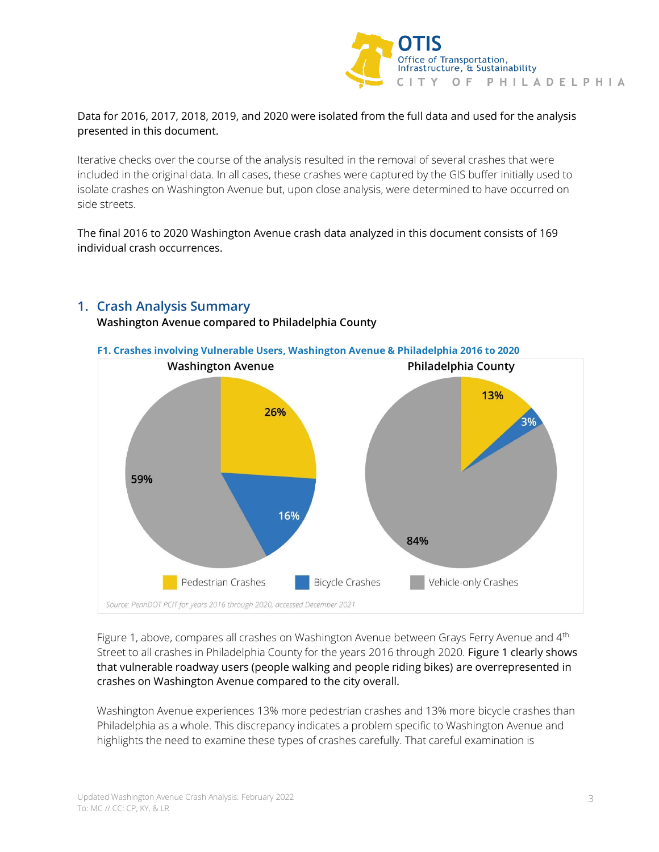

# Data for 2016, 2017, 2018, 2019, and 2020 were isolated from the full data and used for the analysis presented in this document.

Iterative checks over the course of the analysis resulted in the removal of several crashes that were included in the original data. In all cases, these crashes were captured by the GIS buffer initially used to isolate crashes on Washington Avenue but, upon close analysis, were determined to have occurred on side streets.

The final 2016 to 2020 Washington Avenue crash data analyzed in this document consists of 169 individual crash occurrences.



# **1. Crash Analysis Summary**

## **Washington Avenue compared to Philadelphia County**

Figure 1, above, compares all crashes on Washington Avenue between Grays Ferry Avenue and 4<sup>th</sup> Street to all crashes in Philadelphia County for the years 2016 through 2020. Figure 1 clearly shows that vulnerable roadway users (people walking and people riding bikes) are overrepresented in crashes on Washington Avenue compared to the city overall.

Washington Avenue experiences 13% more pedestrian crashes and 13% more bicycle crashes than Philadelphia as a whole. This discrepancy indicates a problem specific to Washington Avenue and highlights the need to examine these types of crashes carefully. That careful examination is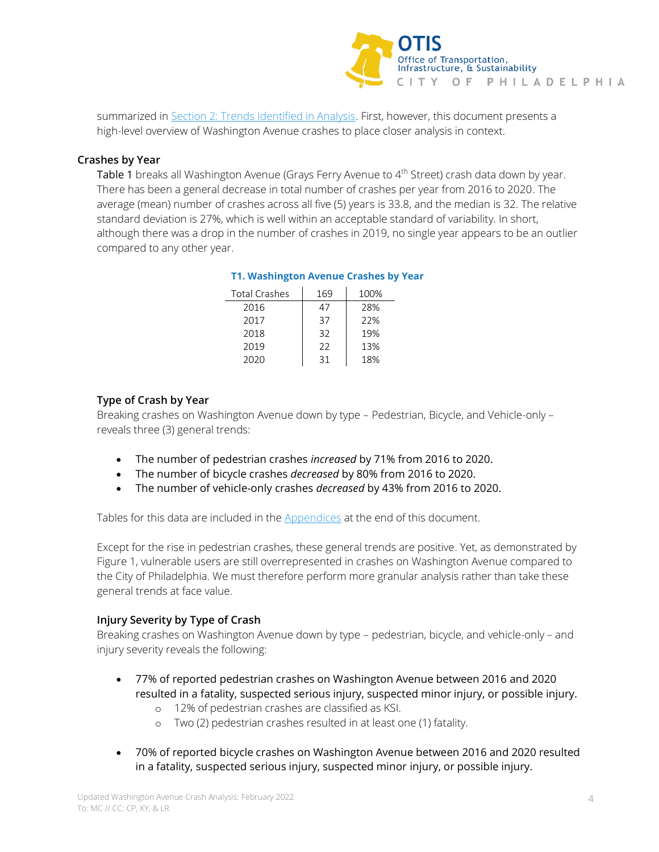

summarized in Section 2: [Trends Identified in Analysis.](#page-4-0) First, however, this document presents a high-level overview of Washington Avenue crashes to place closer analysis in context.

## **Crashes by Year**

Table 1 breaks all Washington Avenue (Grays Ferry Avenue to 4<sup>th</sup> Street) crash data down by year. There has been a general decrease in total number of crashes per year from 2016 to 2020. The average (mean) number of crashes across all five (5) years is 33.8, and the median is 32. The relative standard deviation is 27%, which is well within an acceptable standard of variability. In short, although there was a drop in the number of crashes in 2019, no single year appears to be an outlier compared to any other year.

## **T1. Washington Avenue Crashes by Year**

| <b>Total Crashes</b> | 169 | 100% |
|----------------------|-----|------|
| 2016                 | 47  | 28%  |
| 2017                 | 37  | 22%  |
| 2018                 | 32  | 19%  |
| 2019                 | フフ  | 13%  |
| 2020                 | 31  | 18%  |

# **Type of Crash by Year**

Breaking crashes on Washington Avenue down by type – Pedestrian, Bicycle, and Vehicle-only – reveals three (3) general trends:

- The number of pedestrian crashes *increased* by 71% from 2016 to 2020.
- The number of bicycle crashes *decreased* by 80% from 2016 to 2020.
- The number of vehicle-only crashes *decreased* by 43% from 2016 to 2020.

Tables for this data are included in the **Appendices** at the end of this document.

Except for the rise in pedestrian crashes, these general trends are positive. Yet, as demonstrated by Figure 1, vulnerable users are still overrepresented in crashes on Washington Avenue compared to the City of Philadelphia. We must therefore perform more granular analysis rather than take these general trends at face value.

## **Injury Severity by Type of Crash**

Breaking crashes on Washington Avenue down by type – pedestrian, bicycle, and vehicle-only – and injury severity reveals the following:

- 77% of reported pedestrian crashes on Washington Avenue between 2016 and 2020 resulted in a fatality, suspected serious injury, suspected minor injury, or possible injury.
	- o 12% of pedestrian crashes are classified as KSI.
	- o Two (2) pedestrian crashes resulted in at least one (1) fatality.
- 70% of reported bicycle crashes on Washington Avenue between 2016 and 2020 resulted in a fatality, suspected serious injury, suspected minor injury, or possible injury.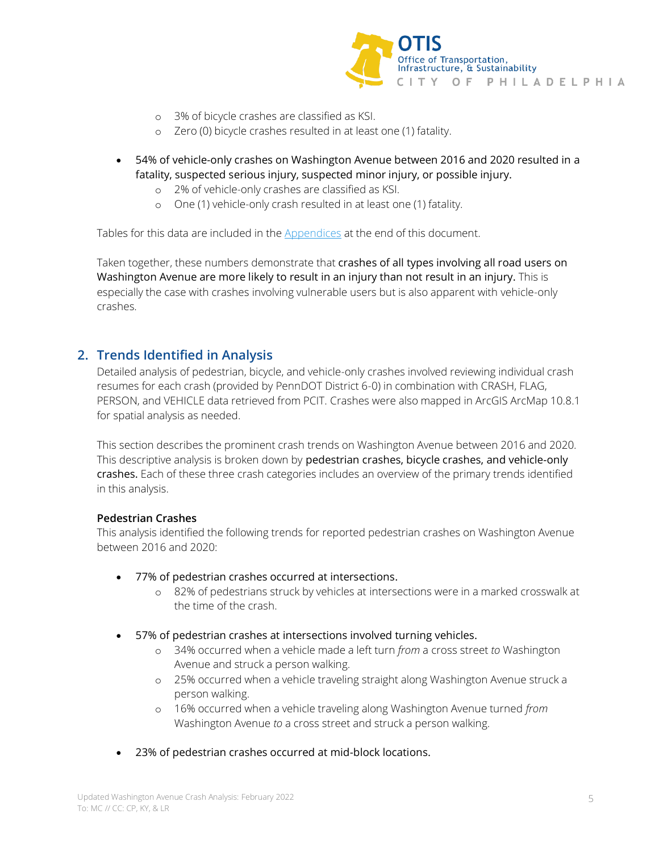

- o 3% of bicycle crashes are classified as KSI.
- o Zero (0) bicycle crashes resulted in at least one (1) fatality.
- 54% of vehicle-only crashes on Washington Avenue between 2016 and 2020 resulted in a fatality, suspected serious injury, suspected minor injury, or possible injury.
	- o 2% of vehicle-only crashes are classified as KSI.
	- o One (1) vehicle-only crash resulted in at least one (1) fatality.

Tables for this data are included in th[e Appendices](#page-9-0) at the end of this document.

Taken together, these numbers demonstrate that crashes of all types involving all road users on Washington Avenue are more likely to result in an injury than not result in an injury. This is especially the case with crashes involving vulnerable users but is also apparent with vehicle-only crashes.

# <span id="page-4-0"></span>**2. Trends Identified in Analysis**

Detailed analysis of pedestrian, bicycle, and vehicle-only crashes involved reviewing individual crash resumes for each crash (provided by PennDOT District 6-0) in combination with CRASH, FLAG, PERSON, and VEHICLE data retrieved from PCIT. Crashes were also mapped in ArcGIS ArcMap 10.8.1 for spatial analysis as needed.

This section describes the prominent crash trends on Washington Avenue between 2016 and 2020. This descriptive analysis is broken down by pedestrian crashes, bicycle crashes, and vehicle-only crashes. Each of these three crash categories includes an overview of the primary trends identified in this analysis.

## **Pedestrian Crashes**

This analysis identified the following trends for reported pedestrian crashes on Washington Avenue between 2016 and 2020:

- 77% of pedestrian crashes occurred at intersections.
	- o 82% of pedestrians struck by vehicles at intersections were in a marked crosswalk at the time of the crash.
- 57% of pedestrian crashes at intersections involved turning vehicles.
	- o 34% occurred when a vehicle made a left turn *from* a cross street *to* Washington Avenue and struck a person walking.
	- o 25% occurred when a vehicle traveling straight along Washington Avenue struck a person walking.
	- o 16% occurred when a vehicle traveling along Washington Avenue turned *from* Washington Avenue *to* a cross street and struck a person walking.
- 23% of pedestrian crashes occurred at mid-block locations.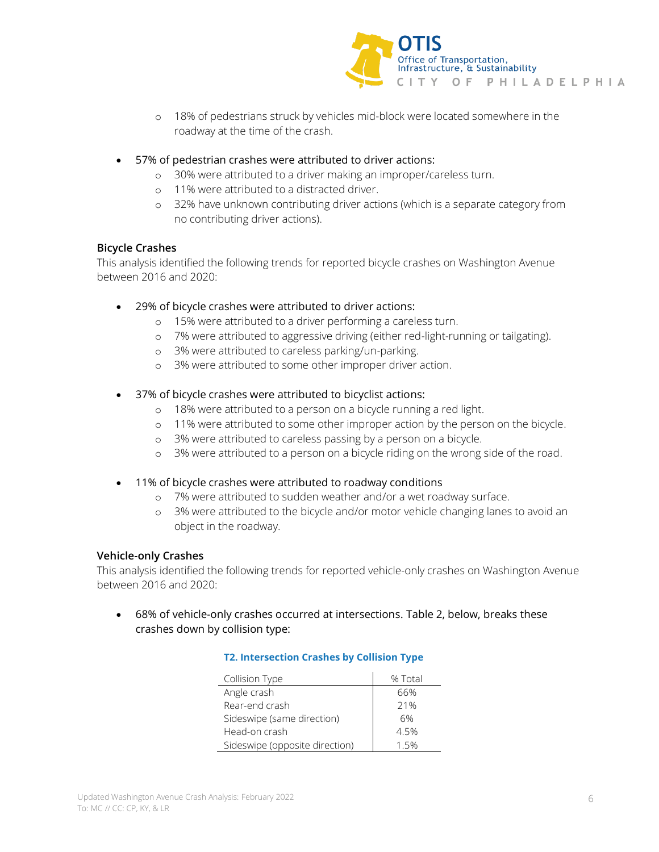

- o 18% of pedestrians struck by vehicles mid-block were located somewhere in the roadway at the time of the crash.
- 57% of pedestrian crashes were attributed to driver actions:
	- o 30% were attributed to a driver making an improper/careless turn.
	- o 11% were attributed to a distracted driver.
	- o 32% have unknown contributing driver actions (which is a separate category from no contributing driver actions).

#### **Bicycle Crashes**

This analysis identified the following trends for reported bicycle crashes on Washington Avenue between 2016 and 2020:

- 29% of bicycle crashes were attributed to driver actions:
	- o 15% were attributed to a driver performing a careless turn.
	- o 7% were attributed to aggressive driving (either red-light-running or tailgating).
	- o 3% were attributed to careless parking/un-parking.
	- o 3% were attributed to some other improper driver action.
- 37% of bicycle crashes were attributed to bicyclist actions:
	- o 18% were attributed to a person on a bicycle running a red light.
	- o 11% were attributed to some other improper action by the person on the bicycle.
	- o 3% were attributed to careless passing by a person on a bicycle.
	- o 3% were attributed to a person on a bicycle riding on the wrong side of the road.
- 11% of bicycle crashes were attributed to roadway conditions
	- o 7% were attributed to sudden weather and/or a wet roadway surface.
	- o 3% were attributed to the bicycle and/or motor vehicle changing lanes to avoid an object in the roadway.

#### **Vehicle-only Crashes**

This analysis identified the following trends for reported vehicle-only crashes on Washington Avenue between 2016 and 2020:

• 68% of vehicle-only crashes occurred at intersections. Table 2, below, breaks these crashes down by collision type:

| Collision Type                 | % Total |
|--------------------------------|---------|
| Angle crash                    | 66%     |
| Rear-end crash                 | 21%     |
| Sideswipe (same direction)     | 6%      |
| Head-on crash                  | 4.5%    |
| Sideswipe (opposite direction) | 1 5%    |

#### **T2. Intersection Crashes by Collision Type**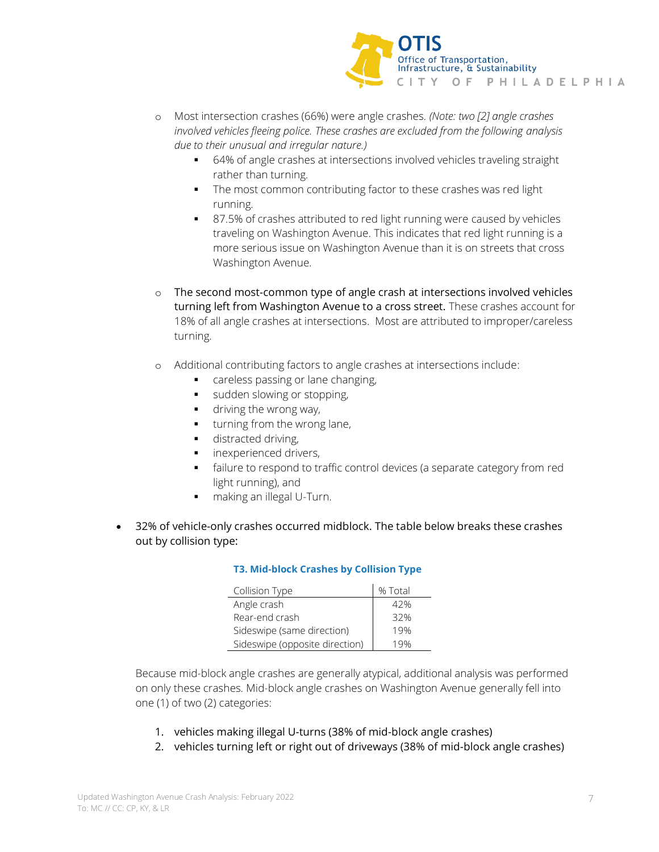

- o Most intersection crashes (66%) were angle crashes. *(Note: two [2] angle crashes involved vehicles fleeing police. These crashes are excluded from the following analysis due to their unusual and irregular nature.)*
	- 64% of angle crashes at intersections involved vehicles traveling straight rather than turning.
	- **•** The most common contributing factor to these crashes was red light running.
	- 87.5% of crashes attributed to red light running were caused by vehicles traveling on Washington Avenue. This indicates that red light running is a more serious issue on Washington Avenue than it is on streets that cross Washington Avenue.
- $\circ$  The second most-common type of angle crash at intersections involved vehicles turning left from Washington Avenue to a cross street. These crashes account for 18% of all angle crashes at intersections. Most are attributed to improper/careless turning.
- o Additional contributing factors to angle crashes at intersections include:
	- careless passing or lane changing,
	- sudden slowing or stopping,
	- driving the wrong way,
	- turning from the wrong lane,
	- **■** distracted driving,
	- inexperienced drivers,
	- failure to respond to traffic control devices (a separate category from red light running), and
	- making an illegal U-Turn.
- 32% of vehicle-only crashes occurred midblock. The table below breaks these crashes out by collision type:

## **T3. Mid-block Crashes by Collision Type**

| Collision Type                 | % Total |
|--------------------------------|---------|
| Angle crash                    | 42%     |
| Rear-end crash                 | 32%     |
| Sideswipe (same direction)     | 19%     |
| Sideswipe (opposite direction) |         |

Because mid-block angle crashes are generally atypical, additional analysis was performed on only these crashes. Mid-block angle crashes on Washington Avenue generally fell into one (1) of two (2) categories:

- 1. vehicles making illegal U-turns (38% of mid-block angle crashes)
- 2. vehicles turning left or right out of driveways (38% of mid-block angle crashes)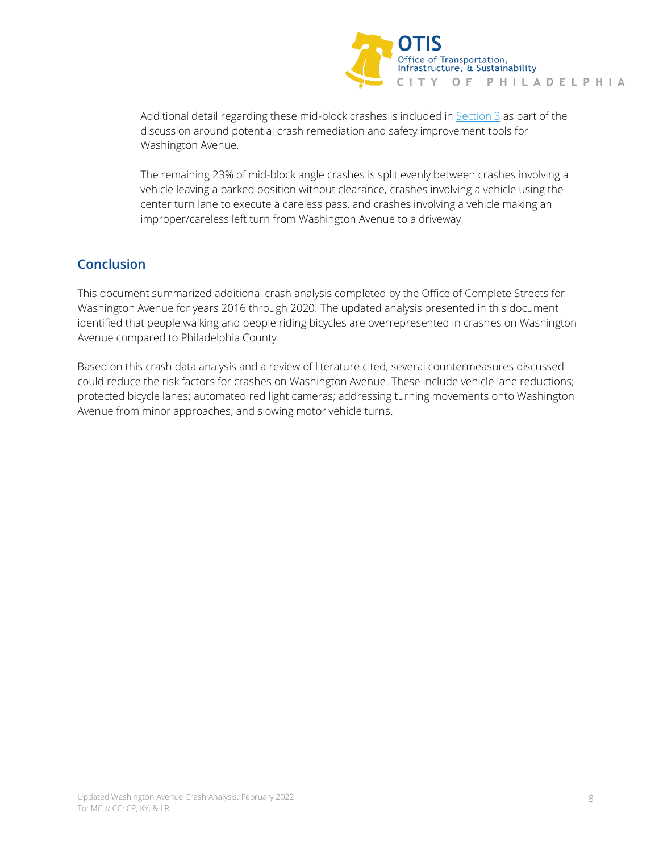

Additional detail regarding these mid-block crashes is included in  $Section 3$  as part of the discussion around potential crash remediation and safety improvement tools for Washington Avenue.

The remaining 23% of mid-block angle crashes is split evenly between crashes involving a vehicle leaving a parked position without clearance, crashes involving a vehicle using the center turn lane to execute a careless pass, and crashes involving a vehicle making an improper/careless left turn from Washington Avenue to a driveway.

# **Conclusion**

This document summarized additional crash analysis completed by the Office of Complete Streets for Washington Avenue for years 2016 through 2020. The updated analysis presented in this document identified that people walking and people riding bicycles are overrepresented in crashes on Washington Avenue compared to Philadelphia County.

Based on this crash data analysis and a review of literature cited, several countermeasures discussed could reduce the risk factors for crashes on Washington Avenue. These include vehicle lane reductions; protected bicycle lanes; automated red light cameras; addressing turning movements onto Washington Avenue from minor approaches; and slowing motor vehicle turns.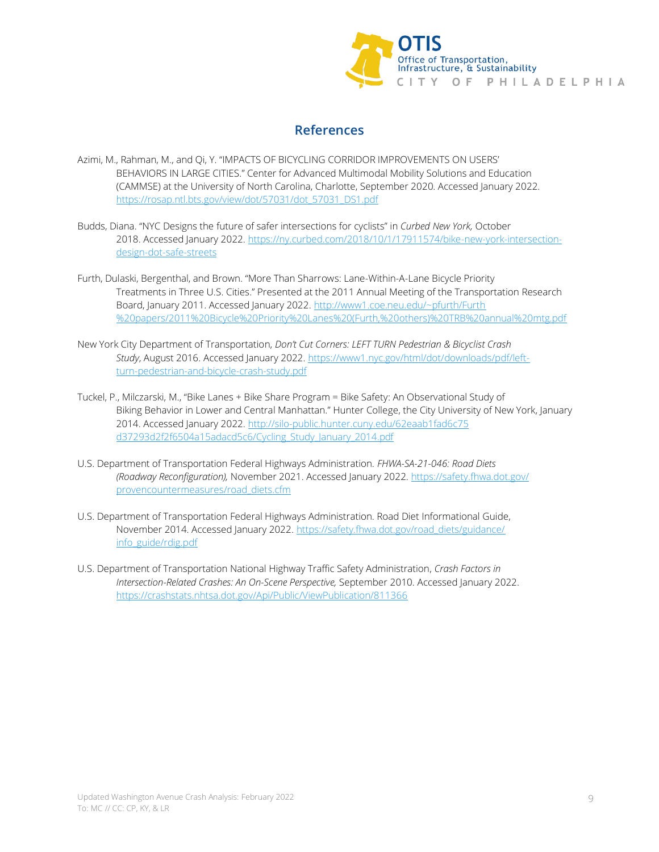

# **References**

- Azimi, M., Rahman, M., and Qi, Y. "IMPACTS OF BICYCLING CORRIDOR IMPROVEMENTS ON USERS' BEHAVIORS IN LARGE CITIES." Center for Advanced Multimodal Mobility Solutions and Education (CAMMSE) at the University of North Carolina, Charlotte, September 2020. Accessed January 2022. [https://rosap.ntl.bts.gov/view/dot/57031/dot\\_57031\\_DS1.pdf](https://rosap.ntl.bts.gov/view/dot/57031/dot_57031_DS1.pdf)
- Budds, Diana. "NYC Designs the future of safer intersections for cyclists" in *Curbed New York,* October 2018. Accessed January 2022. [https://ny.curbed.com/2018/10/1/17911574/bike-new-york-intersection](https://ny.curbed.com/2018/10/1/17911574/bike-new-york-intersection-design-dot-safe-streets)[design-dot-safe-streets](https://ny.curbed.com/2018/10/1/17911574/bike-new-york-intersection-design-dot-safe-streets)
- Furth, Dulaski, Bergenthal, and Brown. "More Than Sharrows: Lane-Within-A-Lane Bicycle Priority Treatments in Three U.S. Cities." Presented at the 2011 Annual Meeting of the Transportation Research Board, January 2011. Accessed January 2022. [http://www1.coe.neu.edu/~pfurth/Furth](http://www1.coe.neu.edu/~pfurth/Furth%20papers/2011%20Bicycle%20Priority%20Lanes%20(Furth,%20others)%20TRB%20annual%20mtg.pdf) [%20papers/2011%20Bicycle%20Priority%20Lanes%20\(Furth,%20others\)%20TRB%20annual%20mtg.pdf](http://www1.coe.neu.edu/~pfurth/Furth%20papers/2011%20Bicycle%20Priority%20Lanes%20(Furth,%20others)%20TRB%20annual%20mtg.pdf)
- New York City Department of Transportation, *Don't Cut Corners: LEFT TURN Pedestrian & Bicyclist Crash Study*, August 2016. Accessed January 2022. [https://www1.nyc.gov/html/dot/downloads/pdf/left](https://www1.nyc.gov/html/dot/downloads/pdf/left-turn-pedestrian-and-bicycle-crash-study.pdf)[turn-pedestrian-and-bicycle-crash-study.pdf](https://www1.nyc.gov/html/dot/downloads/pdf/left-turn-pedestrian-and-bicycle-crash-study.pdf)
- Tuckel, P., Milczarski, M., "Bike Lanes + Bike Share Program = Bike Safety: An Observational Study of Biking Behavior in Lower and Central Manhattan." Hunter College, the City University of New York, January 2014. Accessed January 2022. [http://silo-public.hunter.cuny.edu/62eaab1fad6c75](http://silo-public.hunter.cuny.edu/62eaab1fad6c75d37293d2f2f6504a15adacd5c6/Cycling_Study_January_2014.pdf) [d37293d2f2f6504a15adacd5c6/Cycling\\_Study\\_January\\_2014.pdf](http://silo-public.hunter.cuny.edu/62eaab1fad6c75d37293d2f2f6504a15adacd5c6/Cycling_Study_January_2014.pdf)
- U.S. Department of Transportation Federal Highways Administration. *FHWA-SA-21-046: Road Diets (Roadway Reconfiguration),* November 2021. Accessed January 2022. [https://safety.fhwa.dot.gov/](https://safety.fhwa.dot.gov/provencountermeasures/road_diets.cfm) [provencountermeasures/road\\_diets.cfm](https://safety.fhwa.dot.gov/provencountermeasures/road_diets.cfm)
- U.S. Department of Transportation Federal Highways Administration. Road Diet Informational Guide, November 2014. Accessed January 2022. [https://safety.fhwa.dot.gov/road\\_diets/guidance/](https://safety.fhwa.dot.gov/road_diets/guidance/info_guide/rdig.pdf) [info\\_guide/rdig.pdf](https://safety.fhwa.dot.gov/road_diets/guidance/info_guide/rdig.pdf)
- U.S. Department of Transportation National Highway Traffic Safety Administration, *Crash Factors in Intersection-Related Crashes: An On-Scene Perspective,* September 2010. Accessed January 2022. <https://crashstats.nhtsa.dot.gov/Api/Public/ViewPublication/811366>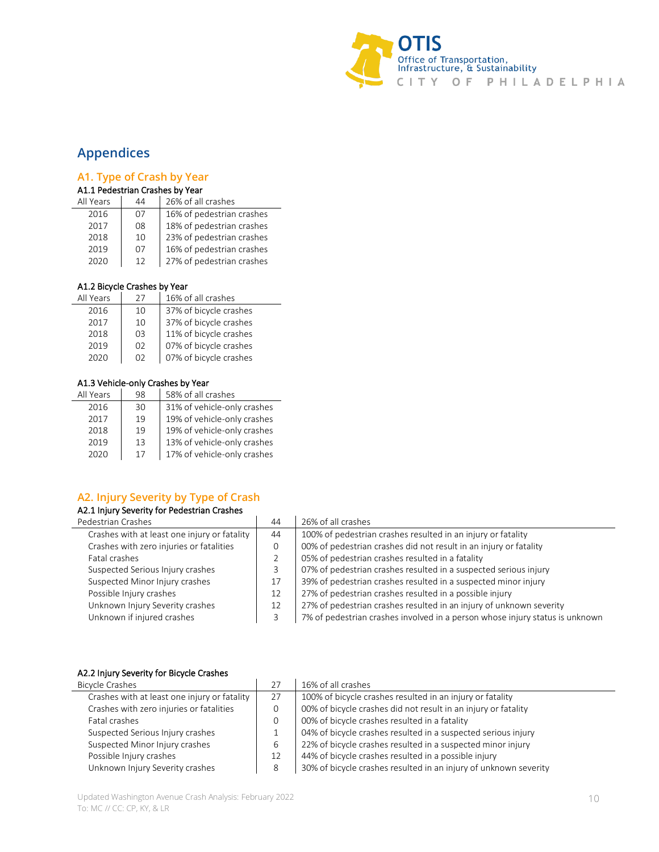

# <span id="page-9-0"></span>**Appendices**

 $\overline{a}$ 

## **A1. Type of Crash by Year**

#### A1.1 Pedestrian Crashes by Year

| All Years | 44 | 26% of all crashes        |
|-----------|----|---------------------------|
| 2016      | 07 | 16% of pedestrian crashes |
| 2017      | 08 | 18% of pedestrian crashes |
| 2018      | 10 | 23% of pedestrian crashes |
| 2019      | 07 | 16% of pedestrian crashes |
| 2020      | 12 | 27% of pedestrian crashes |

#### A1.2 Bicycle Crashes by Year

| All Years | 27 | 16% of all crashes     |
|-----------|----|------------------------|
| 2016      | 10 | 37% of bicycle crashes |
| 2017      | 10 | 37% of bicycle crashes |
| 2018      | OЗ | 11% of bicycle crashes |
| 2019      | 02 | 07% of bicycle crashes |
| 2020      | 02 | 07% of bicycle crashes |

#### A1.3 Vehicle-only Crashes by Year

| 98 | 58% of all crashes          |
|----|-----------------------------|
| 30 | 31% of vehicle-only crashes |
| 19 | 19% of vehicle-only crashes |
| 19 | 19% of vehicle-only crashes |
| 13 | 13% of vehicle-only crashes |
| 17 | 17% of vehicle-only crashes |
|    |                             |

# **A2. Injury Severity by Type of Crash**

#### A2.1 Injury Severity for Pedestrian Crashes

| Pedestrian Crashes                           | 44 | 26% of all crashes                                                           |
|----------------------------------------------|----|------------------------------------------------------------------------------|
| Crashes with at least one injury or fatality | 44 | 100% of pedestrian crashes resulted in an injury or fatality                 |
| Crashes with zero injuries or fatalities     |    | 00% of pedestrian crashes did not result in an injury or fatality            |
| Fatal crashes                                |    | 05% of pedestrian crashes resulted in a fatality                             |
| Suspected Serious Injury crashes             |    | 07% of pedestrian crashes resulted in a suspected serious injury             |
| Suspected Minor Injury crashes               | 17 | 39% of pedestrian crashes resulted in a suspected minor injury               |
| Possible Injury crashes                      | 12 | 27% of pedestrian crashes resulted in a possible injury                      |
| Unknown Injury Severity crashes              | 12 | 27% of pedestrian crashes resulted in an injury of unknown severity          |
| Unknown if injured crashes                   |    | 7% of pedestrian crashes involved in a person whose injury status is unknown |

#### A2.2 Injury Severity for Bicycle Crashes

| <b>Bicycle Crashes</b>                       | 27 | 16% of all crashes                                               |
|----------------------------------------------|----|------------------------------------------------------------------|
| Crashes with at least one injury or fatality | 27 | 100% of bicycle crashes resulted in an injury or fatality        |
| Crashes with zero injuries or fatalities     |    | 00% of bicycle crashes did not result in an injury or fatality   |
| Fatal crashes                                |    | 00% of bicycle crashes resulted in a fatality                    |
| Suspected Serious Injury crashes             |    | 04% of bicycle crashes resulted in a suspected serious injury    |
| Suspected Minor Injury crashes               | 6  | 22% of bicycle crashes resulted in a suspected minor injury      |
| Possible Injury crashes                      | 12 | 44% of bicycle crashes resulted in a possible injury             |
| Unknown Injury Severity crashes              | 8  | 30% of bicycle crashes resulted in an injury of unknown severity |